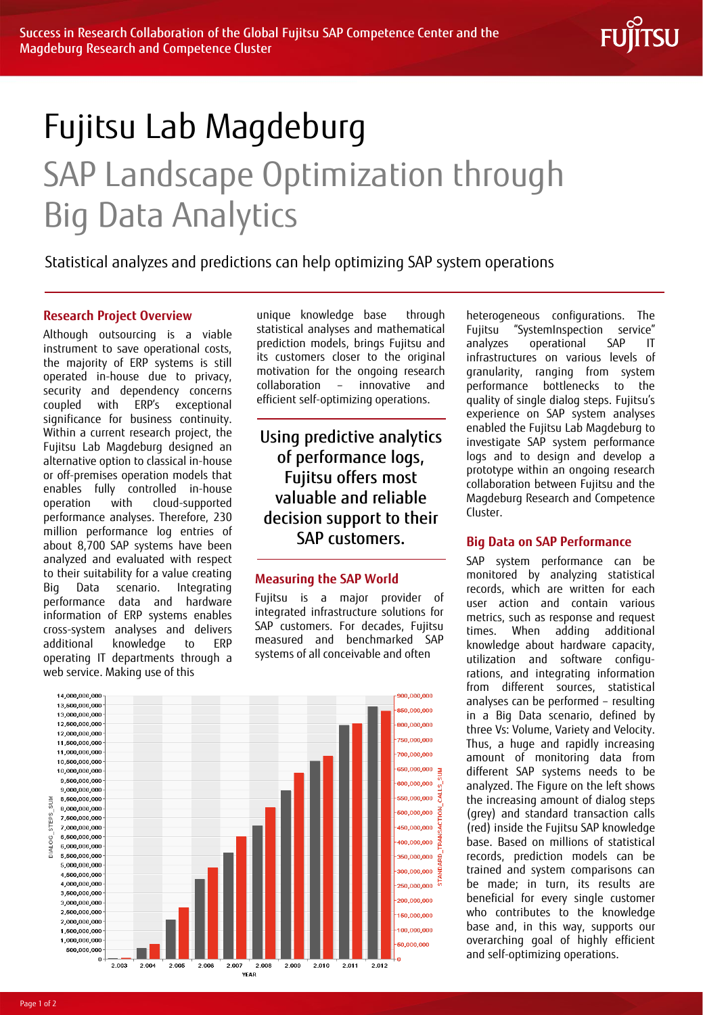

# Fujitsu Lab Magdeburg SAP Landscape Optimization through Big Data Analytics

## Statistical analyzes and predictions can help optimizing SAP system operations

#### **Research Project Overview**

Although outsourcing is a viable instrument to save operational costs, the majority of ERP systems is still operated in-house due to privacy, security and dependency concerns coupled with ERP's exceptional significance for business continuity. Within a current research project, the Fujitsu Lab Magdeburg designed an alternative option to classical in-house or off-premises operation models that enables fully controlled in-house operation with cloud-supported performance analyses. Therefore, 230 million performance log entries of about 8,700 SAP systems have been analyzed and evaluated with respect to their suitability for a value creating Big Data scenario. Integrating performance data and hardware information of ERP systems enables cross-system analyses and delivers additional knowledge to ERP operating IT departments through a web service. Making use of this

unique knowledge base through statistical analyses and mathematical prediction models, brings Fujitsu and its customers closer to the original motivation for the ongoing research collaboration – innovative and efficient self-optimizing operations.

## Using predictive analytics of performance logs, Fujitsu offers most valuable and reliable decision support to their SAP customers.

#### **Measuring the SAP World**

Fujitsu is a major provider of integrated infrastructure solutions for SAP customers. For decades, Fujitsu measured and benchmarked SAP systems of all conceivable and often



heterogeneous configurations. The Fujitsu "SystemInspection service" analyzes operational SAP IT infrastructures on various levels of granularity, ranging from system performance bottlenecks to the quality of single dialog steps. Fujitsu's experience on SAP system analyses enabled the Fujitsu Lab Magdeburg to investigate SAP system performance logs and to design and develop a prototype within an ongoing research collaboration between Fujitsu and the Magdeburg Research and Competence Cluster.

#### **Big Data on SAP Performance**

SAP system performance can be monitored by analyzing statistical records, which are written for each user action and contain various metrics, such as response and request times. When adding additional knowledge about hardware capacity, utilization and software configurations, and integrating information from different sources, statistical analyses can be performed – resulting in a Big Data scenario, defined by three Vs: Volume, Variety and Velocity. Thus, a huge and rapidly increasing amount of monitoring data from different SAP systems needs to be analyzed. The Figure on the left shows the increasing amount of dialog steps (grey) and standard transaction calls (red) inside the Fujitsu SAP knowledge base. Based on millions of statistical records, prediction models can be trained and system comparisons can be made; in turn, its results are beneficial for every single customer who contributes to the knowledge base and, in this way, supports our overarching goal of highly efficient and self-optimizing operations.